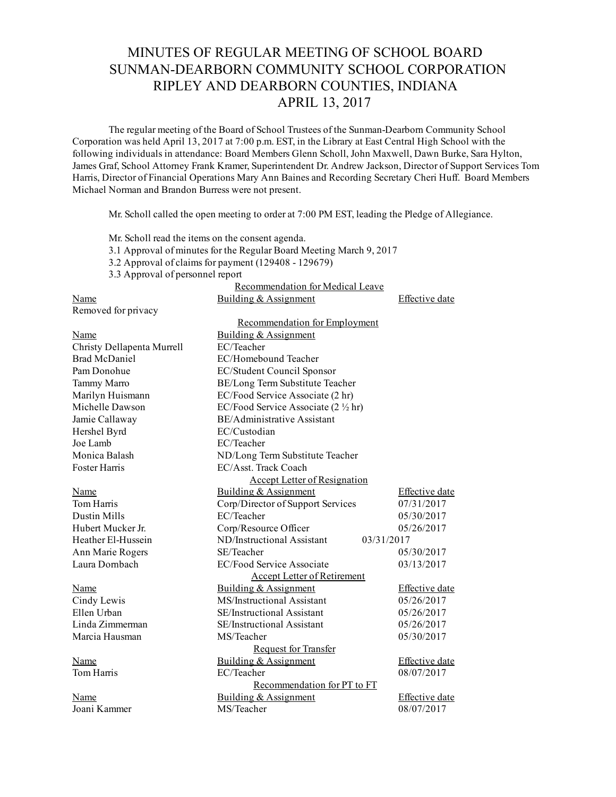## MINUTES OF REGULAR MEETING OF SCHOOL BOARD SUNMAN-DEARBORN COMMUNITY SCHOOL CORPORATION RIPLEY AND DEARBORN COUNTIES, INDIANA APRIL 13, 2017

The regular meeting of the Board of School Trustees of the Sunman-Dearborn Community School Corporation was held April 13, 2017 at 7:00 p.m. EST, in the Library at East Central High School with the following individuals in attendance: Board Members Glenn Scholl, John Maxwell, Dawn Burke, Sara Hylton, James Graf, School Attorney Frank Kramer, Superintendent Dr. Andrew Jackson, Director of Support Services Tom Harris, Director of Financial Operations Mary Ann Baines and Recording Secretary Cheri Huff. Board Members Michael Norman and Brandon Burress were not present.

Mr. Scholl called the open meeting to order at 7:00 PM EST, leading the Pledge of Allegiance.

Mr. Scholl read the items on the consent agenda. 3.1 Approval of minutes for the Regular Board Meeting March 9, 2017 3.2 Approval of claims for payment  $(129408 - 129679)$ 3.3 Approval of personnel report Recommendation for Medical Leave Name Building & Assignment Effective date Removed for privacy Recommendation for Employment Name Building & Assignment Christy Dellapenta Murrell EC/Teacher Brad McDaniel EC/Homebound Teacher Pam Donohue EC/Student Council Sponsor Tammy Marro BE/Long Term Substitute Teacher Marilyn Huismann EC/Food Service Associate (2 hr) Michelle Dawson EC/Food Service Associate (2 ½ hr) Jamie Callaway BE/Administrative Assistant Hershel Byrd EC/Custodian Joe Lamb EC/Teacher Monica Balash ND/Long Term Substitute Teacher Foster Harris EC/Asst. Track Coach Accept Letter of Resignation Name Building & Assignment Effective date Tom Harris Corp/Director of Support Services 07/31/2017 Dustin Mills **EC/Teacher EC/Teacher** 05/30/2017 Hubert Mucker Jr. Corp/Resource Officer 05/26/2017 Heather ElHussein ND/Instructional Assistant 03/31/2017 Ann Marie Rogers SE/Teacher 05/30/2017 Laura Dornbach EC/Food Service Associate 03/13/2017 Accept Letter of Retirement Name Building & Assignment Effective date Cindy Lewis MS/Instructional Assistant 05/26/2017 Ellen Urban SE/Instructional Assistant 05/26/2017 Linda Zimmerman SE/Instructional Assistant 05/26/2017 Marcia Hausman MS/Teacher 1997 MS/Teacher 1997 MS/Teacher 1997 05/30/2017 Request for Transfer Name Building & Assignment Effective date Tom Harris **EC/Teacher EC/Teacher 08/07/2017** Recommendation for PT to FT Name Building & Assignment Effective date Joani Kammer MS/Teacher 08/07/2017